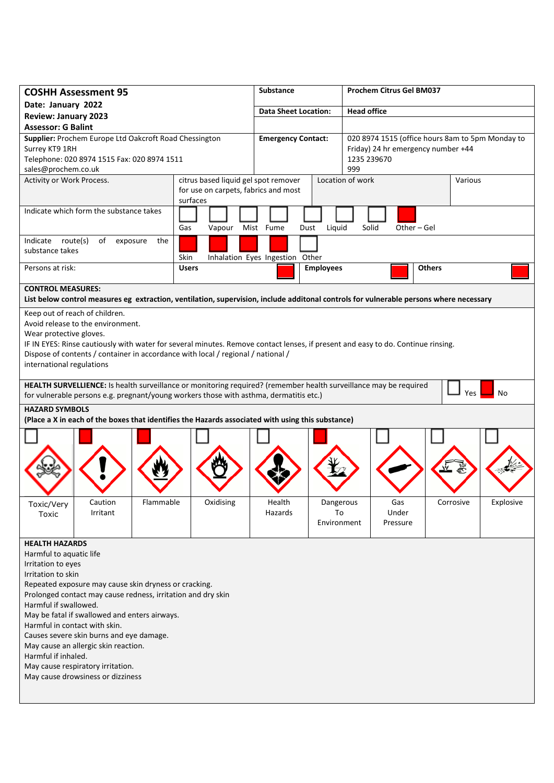| <b>COSHH Assessment 95</b>                                                                                                                                                                                                                                                                                                                                                                                                                                                                                            |           | <b>Substance</b>            |                                | <b>Prochem Citrus Gel BM037</b>                                                                       |           |           |  |
|-----------------------------------------------------------------------------------------------------------------------------------------------------------------------------------------------------------------------------------------------------------------------------------------------------------------------------------------------------------------------------------------------------------------------------------------------------------------------------------------------------------------------|-----------|-----------------------------|--------------------------------|-------------------------------------------------------------------------------------------------------|-----------|-----------|--|
| Date: January 2022                                                                                                                                                                                                                                                                                                                                                                                                                                                                                                    |           | <b>Data Sheet Location:</b> |                                | <b>Head office</b>                                                                                    |           |           |  |
| <b>Review: January 2023</b>                                                                                                                                                                                                                                                                                                                                                                                                                                                                                           |           |                             |                                |                                                                                                       |           |           |  |
| <b>Assessor: G Balint</b>                                                                                                                                                                                                                                                                                                                                                                                                                                                                                             |           |                             |                                |                                                                                                       |           |           |  |
| Supplier: Prochem Europe Ltd Oakcroft Road Chessington<br>Surrey KT9 1RH<br>Telephone: 020 8974 1515 Fax: 020 8974 1511<br>sales@prochem.co.uk                                                                                                                                                                                                                                                                                                                                                                        |           | <b>Emergency Contact:</b>   | 999                            | 020 8974 1515 (office hours 8am to 5pm Monday to<br>Friday) 24 hr emergency number +44<br>1235 239670 |           |           |  |
| Activity or Work Process.<br>citrus based liquid gel spot remover                                                                                                                                                                                                                                                                                                                                                                                                                                                     |           |                             | Location of work               | Various                                                                                               |           |           |  |
| for use on carpets, fabrics and most<br>surfaces<br>Indicate which form the substance takes                                                                                                                                                                                                                                                                                                                                                                                                                           |           |                             |                                |                                                                                                       |           |           |  |
| Gas<br>Vapour                                                                                                                                                                                                                                                                                                                                                                                                                                                                                                         |           | Mist Fume<br>Dust           | Liquid                         | Solid                                                                                                 | Other-Gel |           |  |
| Indicate route(s)<br>of<br>exposure<br>the<br>substance takes<br>Skin<br>Inhalation Eyes Ingestion Other                                                                                                                                                                                                                                                                                                                                                                                                              |           |                             |                                |                                                                                                       |           |           |  |
| Persons at risk:<br><b>Users</b>                                                                                                                                                                                                                                                                                                                                                                                                                                                                                      |           |                             | <b>Employees</b>               | <b>Others</b>                                                                                         |           |           |  |
| <b>CONTROL MEASURES:</b><br>List below control measures eg extraction, ventilation, supervision, include additonal controls for vulnerable persons where necessary                                                                                                                                                                                                                                                                                                                                                    |           |                             |                                |                                                                                                       |           |           |  |
| Keep out of reach of children.<br>Avoid release to the environment.<br>Wear protective gloves.<br>IF IN EYES: Rinse cautiously with water for several minutes. Remove contact lenses, if present and easy to do. Continue rinsing.<br>Dispose of contents / container in accordance with local / regional / national /<br>international regulations                                                                                                                                                                   |           |                             |                                |                                                                                                       |           |           |  |
| HEALTH SURVELLIENCE: Is health surveillance or monitoring required? (remember health surveillance may be required<br>Yes<br>No<br>for vulnerable persons e.g. pregnant/young workers those with asthma, dermatitis etc.)                                                                                                                                                                                                                                                                                              |           |                             |                                |                                                                                                       |           |           |  |
| <b>HAZARD SYMBOLS</b><br>(Place a X in each of the boxes that identifies the Hazards associated with using this substance)                                                                                                                                                                                                                                                                                                                                                                                            |           |                             |                                |                                                                                                       |           |           |  |
|                                                                                                                                                                                                                                                                                                                                                                                                                                                                                                                       |           |                             |                                |                                                                                                       |           |           |  |
| Caution<br>Flammable<br>Toxic/Very<br>Irritant<br>Toxic                                                                                                                                                                                                                                                                                                                                                                                                                                                               | Oxidising | Health<br>Hazards           | Dangerous<br>To<br>Environment | Gas<br>Under<br>Pressure                                                                              | Corrosive | Explosive |  |
| <b>HEALTH HAZARDS</b><br>Harmful to aquatic life<br>Irritation to eyes<br>Irritation to skin<br>Repeated exposure may cause skin dryness or cracking.<br>Prolonged contact may cause redness, irritation and dry skin<br>Harmful if swallowed.<br>May be fatal if swallowed and enters airways.<br>Harmful in contact with skin.<br>Causes severe skin burns and eye damage.<br>May cause an allergic skin reaction.<br>Harmful if inhaled.<br>May cause respiratory irritation.<br>May cause drowsiness or dizziness |           |                             |                                |                                                                                                       |           |           |  |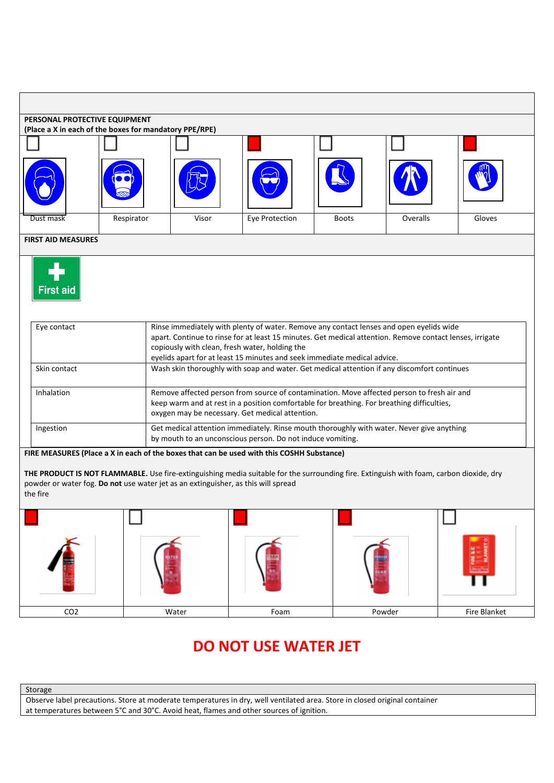

## **DO NOT USE WATER JET**

**Storage** 

Observe label precautions. Store at moderate temperatures in dry, well ventilated area. Store in closed original container at temperatures between 5°C and 30°C. Avoid heat, flames and other sources of ignition.